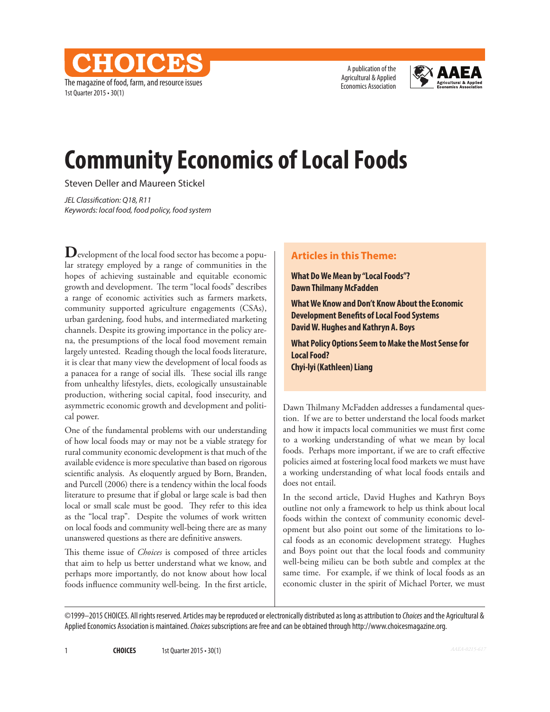The magazine of food, farm, and resource issues 1st Quarter 2015 • 30(1)

**CHOICE** 

A publication of the Agricultural & Applied Economics Association



# **Community Economics of Local Foods**

Steven Deller and Maureen Stickel

*JEL Classification: Q18, R11 Keywords: local food, food policy, food system*

**D**evelopment of the local food sector has become a popular strategy employed by a range of communities in the hopes of achieving sustainable and equitable economic growth and development. The term "local foods" describes a range of economic activities such as farmers markets, community supported agriculture engagements (CSAs), urban gardening, food hubs, and intermediated marketing channels. Despite its growing importance in the policy arena, the presumptions of the local food movement remain largely untested. Reading though the local foods literature, it is clear that many view the development of local foods as a panacea for a range of social ills. These social ills range from unhealthy lifestyles, diets, ecologically unsustainable production, withering social capital, food insecurity, and asymmetric economic growth and development and political power.

One of the fundamental problems with our understanding of how local foods may or may not be a viable strategy for rural community economic development is that much of the available evidence is more speculative than based on rigorous scientific analysis. As eloquently argued by Born, Branden, and Purcell (2006) there is a tendency within the local foods literature to presume that if global or large scale is bad then local or small scale must be good. They refer to this idea as the "local trap". Despite the volumes of work written on local foods and community well-being there are as many unanswered questions as there are definitive answers.

This theme issue of *Choices* is composed of three articles that aim to help us better understand what we know, and perhaps more importantly, do not know about how local foods influence community well-being. In the first article,

## **Articles in this Theme:**

**What Do We Mean by "Local Foods"? Dawn Thilmany McFadden**

**What We Know and Don't Know About the Economic Development Benefits of Local Food Systems David W. Hughes and Kathryn A. Boys**

**What Policy Options Seem to Make the Most Sense for Local Food? Chyi-lyi (Kathleen) Liang**

Dawn Thilmany McFadden addresses a fundamental question. If we are to better understand the local foods market and how it impacts local communities we must first come to a working understanding of what we mean by local foods. Perhaps more important, if we are to craft effective policies aimed at fostering local food markets we must have a working understanding of what local foods entails and does not entail.

In the second article, David Hughes and Kathryn Boys outline not only a framework to help us think about local foods within the context of community economic development but also point out some of the limitations to local foods as an economic development strategy. Hughes and Boys point out that the local foods and community well-being milieu can be both subtle and complex at the same time. For example, if we think of local foods as an economic cluster in the spirit of Michael Porter, we must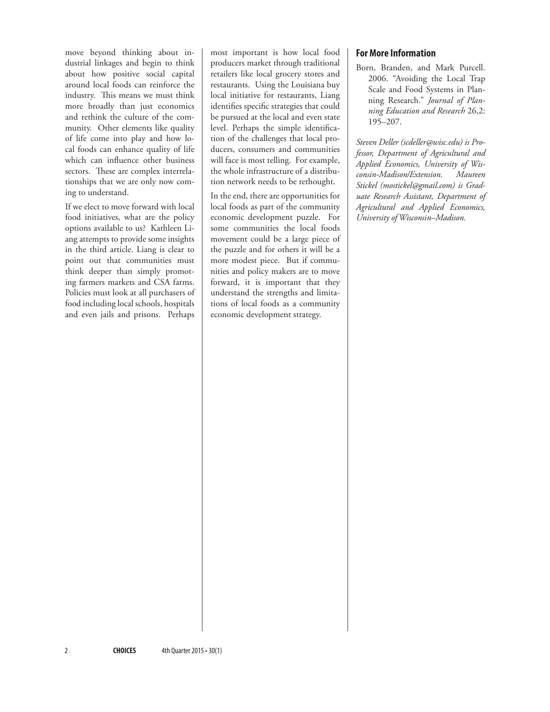move beyond thinking about industrial linkages and begin to think about how positive social capital around local foods can reinforce the industry. This means we must think more broadly than just economics and rethink the culture of the community. Other elements like quality of life come into play and how local foods can enhance quality of life which can influence other business sectors. These are complex interrelationships that we are only now coming to understand.

If we elect to move forward with local food initiatives, what are the policy options available to us? Kathleen Liang attempts to provide some insights in the third article. Liang is clear to point out that communities must think deeper than simply promoting farmers markets and CSA farms. Policies must look at all purchasers of food including local schools, hospitals and even jails and prisons. Perhaps most important is how local food producers market through traditional retailers like local grocery stores and restaurants. Using the Louisiana buy local initiative for restaurants, Liang identifies specific strategies that could be pursued at the local and even state level. Perhaps the simple identification of the challenges that local producers, consumers and communities will face is most telling. For example, the whole infrastructure of a distribution network needs to be rethought.

In the end, there are opportunities for local foods as part of the community economic development puzzle. For some communities the local foods movement could be a large piece of the puzzle and for others it will be a more modest piece. But if communities and policy makers are to move forward, it is important that they understand the strengths and limitations of local foods as a community economic development strategy.

### **For More Information**

Born, Branden, and Mark Purcell. 2006. "Avoiding the Local Trap Scale and Food Systems in Planning Research." *Journal of Planning Education and Research* 26,2: 195–207.

*Steven Deller (scdeller@wisc.edu) is Professor, Department of Agricultural and Applied Economics, University of Wisconsin-Madison/Extension. Maureen Stickel (mostickel@gmail.com) is Graduate Research Assistant, Department of Agricultural and Applied Economics, University of Wisconsin–Madison.*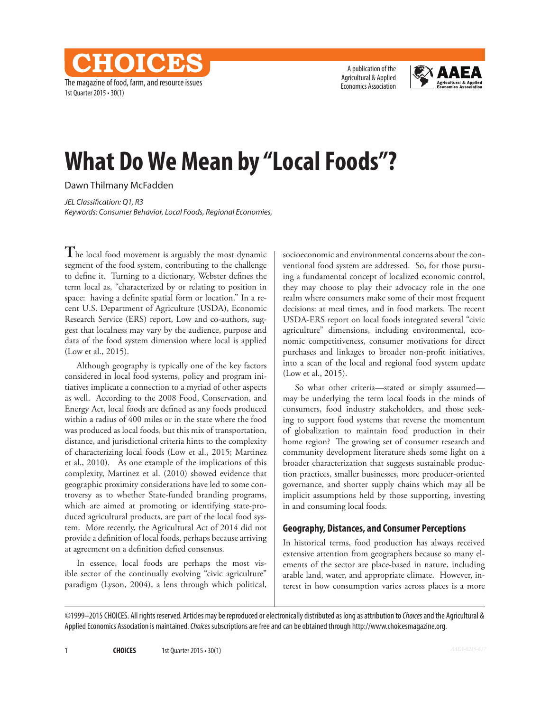The magazine of food, farm, and resource issues 1st Quarter 2015 • 30(1)

CHOICES

A publication of the Agricultural & Applied Economics Association



# **What Do We Mean by "Local Foods"?**

Dawn Thilmany McFadden

*JEL Classification: Q1, R3 Keywords: Consumer Behavior, Local Foods, Regional Economies,* 

**T**he local food movement is arguably the most dynamic segment of the food system, contributing to the challenge to define it. Turning to a dictionary, Webster defines the term local as, "characterized by or relating to position in space: having a definite spatial form or location." In a recent U.S. Department of Agriculture (USDA), Economic Research Service (ERS) report, Low and co-authors, suggest that localness may vary by the audience, purpose and data of the food system dimension where local is applied (Low et al., 2015).

Although geography is typically one of the key factors considered in local food systems, policy and program initiatives implicate a connection to a myriad of other aspects as well. According to the 2008 Food, Conservation, and Energy Act, local foods are defined as any foods produced within a radius of 400 miles or in the state where the food was produced as local foods, but this mix of transportation, distance, and jurisdictional criteria hints to the complexity of characterizing local foods (Low et al., 2015; Martinez et al., 2010). As one example of the implications of this complexity, Martinez et al. (2010) showed evidence that geographic proximity considerations have led to some controversy as to whether State-funded branding programs, which are aimed at promoting or identifying state-produced agricultural products, are part of the local food system. More recently, the Agricultural Act of 2014 did not provide a definition of local foods, perhaps because arriving at agreement on a definition defied consensus.

In essence, local foods are perhaps the most visible sector of the continually evolving "civic agriculture" paradigm (Lyson, 2004), a lens through which political, socioeconomic and environmental concerns about the conventional food system are addressed. So, for those pursuing a fundamental concept of localized economic control, they may choose to play their advocacy role in the one realm where consumers make some of their most frequent decisions: at meal times, and in food markets. The recent USDA-ERS report on local foods integrated several "civic agriculture" dimensions, including environmental, economic competitiveness, consumer motivations for direct purchases and linkages to broader non-profit initiatives, into a scan of the local and regional food system update (Low et al., 2015).

So what other criteria—stated or simply assumed may be underlying the term local foods in the minds of consumers, food industry stakeholders, and those seeking to support food systems that reverse the momentum of globalization to maintain food production in their home region? The growing set of consumer research and community development literature sheds some light on a broader characterization that suggests sustainable production practices, smaller businesses, more producer-oriented governance, and shorter supply chains which may all be implicit assumptions held by those supporting, investing in and consuming local foods.

#### **Geography, Distances, and Consumer Perceptions**

In historical terms, food production has always received extensive attention from geographers because so many elements of the sector are place-based in nature, including arable land, water, and appropriate climate. However, interest in how consumption varies across places is a more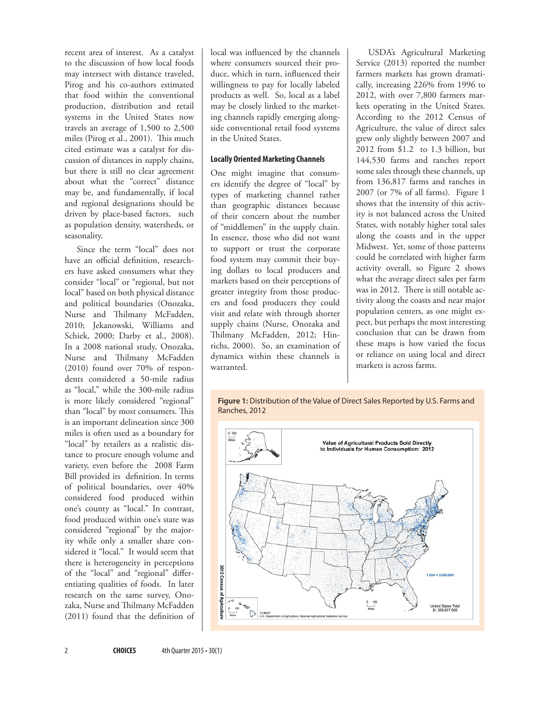recent area of interest. As a catalyst to the discussion of how local foods may intersect with distance traveled, Pirog and his co-authors estimated that food within the conventional production, distribution and retail systems in the United States now travels an average of 1,500 to 2,500 miles (Pirog et al., 2001). This much cited estimate was a catalyst for discussion of distances in supply chains, but there is still no clear agreement about what the "correct" distance may be, and fundamentally, if local and regional designations should be driven by place-based factors, such as population density, watersheds, or seasonality.

Since the term "local" does not have an official definition, researchers have asked consumers what they consider "local" or "regional, but not local" based on both physical distance and political boundaries (Onozaka, Nurse and Thilmany McFadden, 2010; Jekanowski, Williams and Schiek, 2000; Darby et al., 2008). In a 2008 national study, Onozaka, Nurse and Thilmany McFadden (2010) found over 70% of respondents considered a 50-mile radius as "local," while the 300-mile radius is more likely considered "regional" than "local" by most consumers. This is an important delineation since 300 miles is often used as a boundary for "local" by retailers as a realistic distance to procure enough volume and variety, even before the 2008 Farm Bill provided its definition. In terms of political boundaries, over 40% considered food produced within one's county as "local." In contrast, food produced within one's state was considered "regional" by the majority while only a smaller share considered it "local." It would seem that there is heterogeneity in perceptions of the "local" and "regional" differentiating qualities of foods. In later research on the same survey, Onozaka, Nurse and Thilmany McFadden (2011) found that the definition of local was influenced by the channels where consumers sourced their produce, which in turn, influenced their willingness to pay for locally labeled products as well. So, local as a label may be closely linked to the marketing channels rapidly emerging alongside conventional retail food systems in the United States.

#### **Locally Oriented Marketing Channels**

One might imagine that consumers identify the degree of "local" by types of marketing channel rather than geographic distances because of their concern about the number of "middlemen" in the supply chain. In essence, those who did not want to support or trust the corporate food system may commit their buying dollars to local producers and markets based on their perceptions of greater integrity from those producers and food producers they could visit and relate with through shorter supply chains (Nurse, Onozaka and Thilmany McFadden, 2012; Hinrichs, 2000). So, an examination of dynamics within these channels is warranted.

USDA's Agricultural Marketing Service (2013) reported the number farmers markets has grown dramatically, increasing 226% from 1996 to 2012, with over 7,800 farmers markets operating in the United States. According to the 2012 Census of Agriculture, the value of direct sales grew only slightly between 2007 and 2012 from \$1.2 to 1.3 billion, but 144,530 farms and ranches report some sales through these channels, up from 136,817 farms and ranches in 2007 (or 7% of all farms). Figure 1 shows that the intensity of this activity is not balanced across the United States, with notably higher total sales along the coasts and in the upper Midwest. Yet, some of those patterns could be correlated with higher farm activity overall, so Figure 2 shows what the average direct sales per farm was in 2012. There is still notable activity along the coasts and near major population centers, as one might expect, but perhaps the most interesting conclusion that can be drawn from these maps is how varied the focus or reliance on using local and direct markets is across farms.

#### **Figure 1:** Distribution of the Value of Direct Sales Reported by U.S. Farms and Ranches, 2012

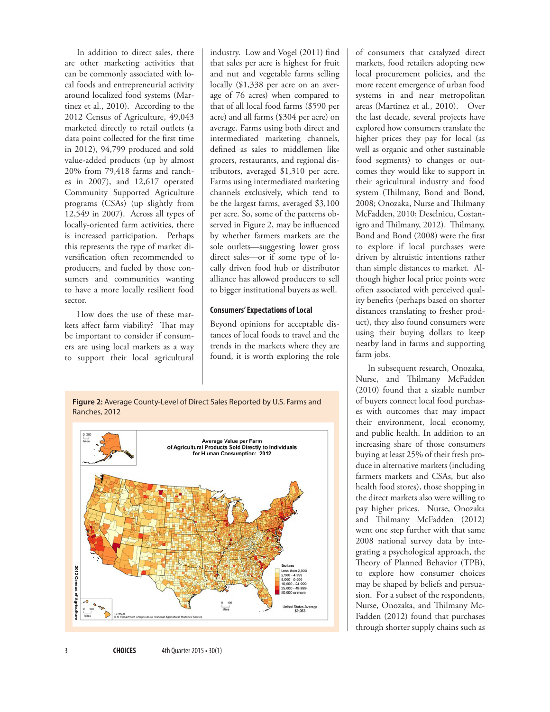In addition to direct sales, there are other marketing activities that can be commonly associated with local foods and entrepreneurial activity around localized food systems (Martinez et al., 2010). According to the 2012 Census of Agriculture, 49,043 marketed directly to retail outlets (a data point collected for the first time in 2012), 94,799 produced and sold value-added products (up by almost 20% from 79,418 farms and ranches in 2007), and 12,617 operated Community Supported Agriculture programs (CSAs) (up slightly from 12,549 in 2007). Across all types of locally-oriented farm activities, there is increased participation. Perhaps this represents the type of market diversification often recommended to producers, and fueled by those consumers and communities wanting to have a more locally resilient food sector.

How does the use of these markets affect farm viability? That may be important to consider if consumers are using local markets as a way to support their local agricultural industry. Low and Vogel (2011) find that sales per acre is highest for fruit and nut and vegetable farms selling locally (\$1,338 per acre on an average of 76 acres) when compared to that of all local food farms (\$590 per acre) and all farms (\$304 per acre) on average. Farms using both direct and intermediated marketing channels, defined as sales to middlemen like grocers, restaurants, and regional distributors, averaged \$1,310 per acre. Farms using intermediated marketing channels exclusively, which tend to be the largest farms, averaged \$3,100 per acre. So, some of the patterns observed in Figure 2, may be influenced by whether farmers markets are the sole outlets—suggesting lower gross direct sales—or if some type of locally driven food hub or distributor alliance has allowed producers to sell to bigger institutional buyers as well.

#### **Consumers' Expectations of Local**

Beyond opinions for acceptable distances of local foods to travel and the trends in the markets where they are found, it is worth exploring the role





of consumers that catalyzed direct markets, food retailers adopting new local procurement policies, and the more recent emergence of urban food systems in and near metropolitan areas (Martinez et al., 2010). Over the last decade, several projects have explored how consumers translate the higher prices they pay for local (as well as organic and other sustainable food segments) to changes or outcomes they would like to support in their agricultural industry and food system (Thilmany, Bond and Bond, 2008; Onozaka, Nurse and Thilmany McFadden, 2010; Deselnicu, Costanigro and Thilmany, 2012). Thilmany, Bond and Bond (2008) were the first to explore if local purchases were driven by altruistic intentions rather than simple distances to market. Although higher local price points were often associated with perceived quality benefits (perhaps based on shorter distances translating to fresher product), they also found consumers were using their buying dollars to keep nearby land in farms and supporting farm jobs.

In subsequent research, Onozaka, Nurse, and Thilmany McFadden (2010) found that a sizable number of buyers connect local food purchases with outcomes that may impact their environment, local economy, and public health. In addition to an increasing share of those consumers buying at least 25% of their fresh produce in alternative markets (including farmers markets and CSAs, but also health food stores), those shopping in the direct markets also were willing to pay higher prices. Nurse, Onozaka and Thilmany McFadden (2012) went one step further with that same 2008 national survey data by integrating a psychological approach, the Theory of Planned Behavior (TPB), to explore how consumer choices may be shaped by beliefs and persuasion. For a subset of the respondents, Nurse, Onozaka, and Thilmany Mc-Fadden (2012) found that purchases through shorter supply chains such as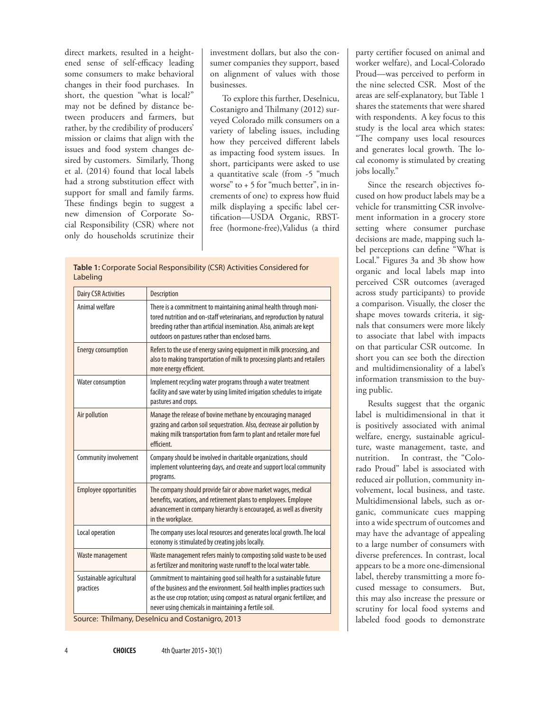direct markets, resulted in a heightened sense of self-efficacy leading some consumers to make behavioral changes in their food purchases. In short, the question "what is local?" may not be defined by distance between producers and farmers, but rather, by the credibility of producers' mission or claims that align with the issues and food system changes desired by customers. Similarly, Thong et al. (2014) found that local labels had a strong substitution effect with support for small and family farms. These findings begin to suggest a new dimension of Corporate Social Responsibility (CSR) where not only do households scrutinize their investment dollars, but also the consumer companies they support, based on alignment of values with those businesses.

To explore this further, Deselnicu, Costanigro and Thilmany (2012) surveyed Colorado milk consumers on a variety of labeling issues, including how they perceived different labels as impacting food system issues. In short, participants were asked to use a quantitative scale (from -5 "much worse" to + 5 for "much better", in increments of one) to express how fluid milk displaying a specific label certification—USDA Organic, RBSTfree (hormone-free),Validus (a third

| <b>Table 1: Corporate Social Responsibility (CSR) Activities Considered for</b><br>Labeling |                    |
|---------------------------------------------------------------------------------------------|--------------------|
| Dairy CSR Activities                                                                        | <b>Description</b> |

| Animal welfare<br>There is a commitment to maintaining animal health through moni-<br>tored nutrition and on-staff veterinarians, and reproduction by natural<br>breeding rather than artificial insemination. Also, animals are kept<br>outdoors on pastures rather than enclosed barns.<br>Refers to the use of energy saving equipment in milk processing, and<br>Energy consumption<br>more energy efficient.<br>Water consumption<br>Implement recycling water programs through a water treatment<br>facility and save water by using limited irrigation schedules to irrigate<br>pastures and crops.<br>Air pollution<br>Manage the release of bovine methane by encouraging managed<br>grazing and carbon soil sequestration. Also, decrease air pollution by<br>making milk transportation from farm to plant and retailer more fuel<br>efficient.<br>Community involvement<br>Company should be involved in charitable organizations, should<br>programs.<br>Employee opportunities<br>The company should provide fair or above market wages, medical<br>benefits, vacations, and retirement plans to employees. Employee<br>advancement in company hierarchy is encouraged, as well as diversity<br>in the workplace.<br>Local operation<br>economy is stimulated by creating jobs locally.<br>Waste management<br>as fertilizer and monitoring waste runoff to the local water table.<br>Commitment to maintaining good soil health for a sustainable future<br>Sustainable agricultural<br>practices | <b>Dairy CSR Activities</b> | Description                                                                                                                                           |
|------------------------------------------------------------------------------------------------------------------------------------------------------------------------------------------------------------------------------------------------------------------------------------------------------------------------------------------------------------------------------------------------------------------------------------------------------------------------------------------------------------------------------------------------------------------------------------------------------------------------------------------------------------------------------------------------------------------------------------------------------------------------------------------------------------------------------------------------------------------------------------------------------------------------------------------------------------------------------------------------------------------------------------------------------------------------------------------------------------------------------------------------------------------------------------------------------------------------------------------------------------------------------------------------------------------------------------------------------------------------------------------------------------------------------------------------------------------------------------------------------------------|-----------------------------|-------------------------------------------------------------------------------------------------------------------------------------------------------|
|                                                                                                                                                                                                                                                                                                                                                                                                                                                                                                                                                                                                                                                                                                                                                                                                                                                                                                                                                                                                                                                                                                                                                                                                                                                                                                                                                                                                                                                                                                                  |                             |                                                                                                                                                       |
|                                                                                                                                                                                                                                                                                                                                                                                                                                                                                                                                                                                                                                                                                                                                                                                                                                                                                                                                                                                                                                                                                                                                                                                                                                                                                                                                                                                                                                                                                                                  |                             | also to making transportation of milk to processing plants and retailers                                                                              |
|                                                                                                                                                                                                                                                                                                                                                                                                                                                                                                                                                                                                                                                                                                                                                                                                                                                                                                                                                                                                                                                                                                                                                                                                                                                                                                                                                                                                                                                                                                                  |                             |                                                                                                                                                       |
|                                                                                                                                                                                                                                                                                                                                                                                                                                                                                                                                                                                                                                                                                                                                                                                                                                                                                                                                                                                                                                                                                                                                                                                                                                                                                                                                                                                                                                                                                                                  |                             |                                                                                                                                                       |
|                                                                                                                                                                                                                                                                                                                                                                                                                                                                                                                                                                                                                                                                                                                                                                                                                                                                                                                                                                                                                                                                                                                                                                                                                                                                                                                                                                                                                                                                                                                  |                             | implement volunteering days, and create and support local community                                                                                   |
|                                                                                                                                                                                                                                                                                                                                                                                                                                                                                                                                                                                                                                                                                                                                                                                                                                                                                                                                                                                                                                                                                                                                                                                                                                                                                                                                                                                                                                                                                                                  |                             |                                                                                                                                                       |
|                                                                                                                                                                                                                                                                                                                                                                                                                                                                                                                                                                                                                                                                                                                                                                                                                                                                                                                                                                                                                                                                                                                                                                                                                                                                                                                                                                                                                                                                                                                  |                             | The company uses local resources and generates local growth. The local                                                                                |
|                                                                                                                                                                                                                                                                                                                                                                                                                                                                                                                                                                                                                                                                                                                                                                                                                                                                                                                                                                                                                                                                                                                                                                                                                                                                                                                                                                                                                                                                                                                  |                             | Waste management refers mainly to composting solid waste to be used                                                                                   |
| never using chemicals in maintaining a fertile soil.<br>Source: Thilmany, Deselnicu and Costanigro, 2013                                                                                                                                                                                                                                                                                                                                                                                                                                                                                                                                                                                                                                                                                                                                                                                                                                                                                                                                                                                                                                                                                                                                                                                                                                                                                                                                                                                                         |                             | of the business and the environment. Soil health implies practices such<br>as the use crop rotation; using compost as natural organic fertilizer, and |

party certifier focused on animal and worker welfare), and Local-Colorado Proud—was perceived to perform in the nine selected CSR. Most of the areas are self-explanatory, but Table 1 shares the statements that were shared with respondents. A key focus to this study is the local area which states: "The company uses local resources and generates local growth. The local economy is stimulated by creating jobs locally."

Since the research objectives focused on how product labels may be a vehicle for transmitting CSR involvement information in a grocery store setting where consumer purchase decisions are made, mapping such label perceptions can define "What is Local." Figures 3a and 3b show how organic and local labels map into perceived CSR outcomes (averaged across study participants) to provide a comparison. Visually, the closer the shape moves towards criteria, it signals that consumers were more likely to associate that label with impacts on that particular CSR outcome. In short you can see both the direction and multidimensionality of a label's information transmission to the buying public.

Results suggest that the organic label is multidimensional in that it is positively associated with animal welfare, energy, sustainable agriculture, waste management, taste, and nutrition. In contrast, the "Colorado Proud" label is associated with reduced air pollution, community involvement, local business, and taste. Multidimensional labels, such as organic, communicate cues mapping into a wide spectrum of outcomes and may have the advantage of appealing to a large number of consumers with diverse preferences. In contrast, local appears to be a more one-dimensional label, thereby transmitting a more focused message to consumers. But, this may also increase the pressure or scrutiny for local food systems and labeled food goods to demonstrate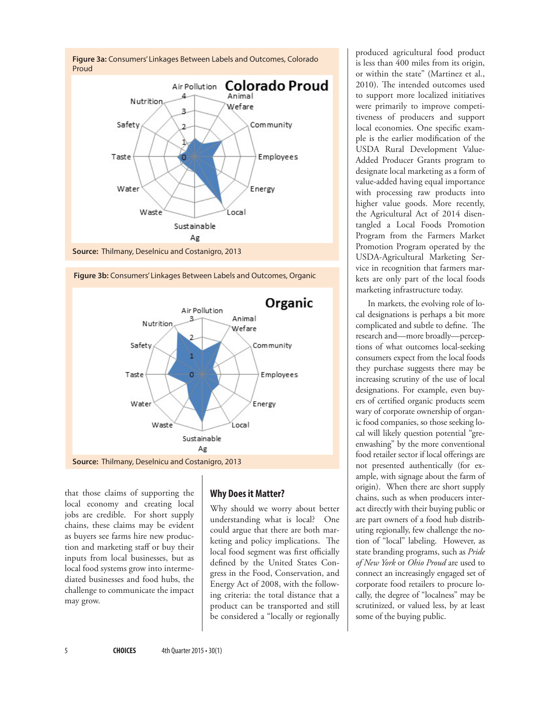



that those claims of supporting the local economy and creating local jobs are credible. For short supply chains, these claims may be evident as buyers see farms hire new production and marketing staff or buy their inputs from local businesses, but as local food systems grow into intermediated businesses and food hubs, the challenge to communicate the impact may grow.

## **Why Does it Matter?**

Why should we worry about better understanding what is local? One could argue that there are both marketing and policy implications. The local food segment was first officially defined by the United States Congress in the Food, Conservation, and Energy Act of 2008, with the following criteria: the total distance that a product can be transported and still be considered a "locally or regionally

produced agricultural food product is less than 400 miles from its origin, or within the state" (Martinez et al., 2010). The intended outcomes used to support more localized initiatives were primarily to improve competitiveness of producers and support local economies. One specific example is the earlier modification of the USDA Rural Development Value-Added Producer Grants program to designate local marketing as a form of value-added having equal importance with processing raw products into higher value goods. More recently, the Agricultural Act of 2014 disentangled a Local Foods Promotion Program from the Farmers Market Promotion Program operated by the USDA-Agricultural Marketing Service in recognition that farmers markets are only part of the local foods marketing infrastructure today.

In markets, the evolving role of local designations is perhaps a bit more complicated and subtle to define. The research and—more broadly—perceptions of what outcomes local-seeking consumers expect from the local foods they purchase suggests there may be increasing scrutiny of the use of local designations. For example, even buyers of certified organic products seem wary of corporate ownership of organic food companies, so those seeking local will likely question potential "greenwashing" by the more conventional food retailer sector if local offerings are not presented authentically (for example, with signage about the farm of origin). When there are short supply chains, such as when producers interact directly with their buying public or are part owners of a food hub distributing regionally, few challenge the notion of "local" labeling. However, as state branding programs, such as *Pride of New York* or *Ohio Proud* are used to connect an increasingly engaged set of corporate food retailers to procure locally, the degree of "localness" may be scrutinized, or valued less, by at least some of the buying public.

**Figure 3b:** Consumers' Linkages Between Labels and Outcomes, Organic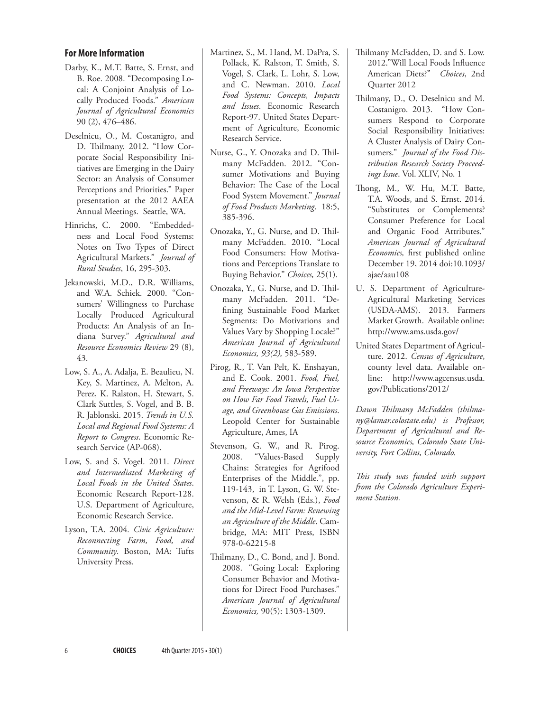### **For More Information**

- Darby, K., M.T. Batte, S. Ernst, and B. Roe. 2008. "Decomposing Local: A Conjoint Analysis of Locally Produced Foods." *American Journal of Agricultural Economics* 90 (2), 476–486.
- Deselnicu, O., M. Costanigro, and D. Thilmany. 2012. "How Corporate Social Responsibility Initiatives are Emerging in the Dairy Sector: an Analysis of Consumer Perceptions and Priorities." Paper presentation at the 2012 AAEA Annual Meetings. Seattle, WA.
- Hinrichs, C. 2000. "Embeddedness and Local Food Systems: Notes on Two Types of Direct Agricultural Markets." *Journal of Rural Studies*, 16, 295-303.
- Jekanowski, M.D., D.R. Williams, and W.A. Schiek. 2000. "Consumers' Willingness to Purchase Locally Produced Agricultural Products: An Analysis of an Indiana Survey." *Agricultural and Resource Economics Review* 29 (8), 43.
- Low, S. A., A. Adalja, E. Beaulieu, N. Key, S. Martinez, A. Melton, A. Perez, K. Ralston, H. Stewart, S. Clark Suttles, S. Vogel, and B. B. R. Jablonski. 2015. *Trends in U.S. Local and Regional Food Systems: A Report to Congress*. Economic Research Service (AP-068).
- Low, S. and S. Vogel. 2011. *Direct and Intermediated Marketing of Local Foods in the United States*. Economic Research Report-128. U.S. Department of Agriculture, Economic Research Service.
- Lyson, T.A. 2004*. Civic Agriculture: Reconnecting Farm, Food, and Community*. Boston, MA: Tufts University Press.
- Martinez, S., M. Hand, M. DaPra, S. Pollack, K. Ralston, T. Smith, S. Vogel, S. Clark, L. Lohr, S. Low, and C. Newman. 2010. *Local Food Systems: Concepts, Impacts and Issues*. Economic Research Report-97. United States Department of Agriculture, Economic Research Service.
- Nurse, G., Y. Onozaka and D. Thilmany McFadden. 2012. "Consumer Motivations and Buying Behavior: The Case of the Local Food System Movement." *Journal of Food Products Marketing*. 18:5, 385-396.
- Onozaka, Y., G. Nurse, and D. Thilmany McFadden. 2010. "Local Food Consumers: How Motivations and Perceptions Translate to Buying Behavior." *Choices,* 25(1).
- Onozaka, Y., G. Nurse, and D. Thilmany McFadden. 2011. "Defining Sustainable Food Market Segments: Do Motivations and Values Vary by Shopping Locale?" *American Journal of Agricultural Economics, 93(2),* 583-589.
- Pirog, R., T. Van Pelt, K. Enshayan, and E. Cook. 2001. *Food, Fuel, and Freeways: An Iowa Perspective on How Far Food Travels, Fuel Usage, and Greenhouse Gas Emissions*. Leopold Center for Sustainable Agriculture, Ames, IA
- Stevenson, G. W., and R. Pirog. 2008. "Values-Based Supply Chains: Strategies for Agrifood Enterprises of the Middle.", pp. 119-143, in T. Lyson, G. W. Stevenson, & R. Welsh (Eds.), *Food and the Mid-Level Farm: Renewing an Agriculture of the Middle*. Cambridge, MA: MIT Press, ISBN 978-0-62215-8
- Thilmany, D., C. Bond, and J. Bond. 2008. "Going Local: Exploring Consumer Behavior and Motivations for Direct Food Purchases." *American Journal of Agricultural Economics,* 90(5): 1303-1309.
- Thilmany McFadden, D. and S. Low. 2012."Will Local Foods Influence American Diets?" *Choices*, 2nd Quarter 2012
- Thilmany, D., O. Deselnicu and M. Costanigro. 2013. "How Consumers Respond to Corporate Social Responsibility Initiatives: A Cluster Analysis of Dairy Consumers." *Journal of the Food Distribution Research Society Proceedings Issue*. Vol. XLIV, No. 1
- Thong, M., W. Hu, M.T. Batte, T.A. Woods, and S. Ernst. 2014. "Substitutes or Complements? Consumer Preference for Local and Organic Food Attributes." *American Journal of Agricultural Economics,* first published online December 19, 2014 doi:10.1093/ ajae/aau108
- U. S. Department of Agriculture-Agricultural Marketing Services (USDA-AMS). 2013. Farmers Market Growth. Available online: <http://www.ams.usda.gov/>
- United States Department of Agriculture. 2012. *Census of Agriculture*, county level data. Available online: [http://www.agcensus.usda.]( http://www.agcensus.usda.gov/Publications/2012/) [gov/Publications/2012/]( http://www.agcensus.usda.gov/Publications/2012/)

*Dawn Thilmany McFadden (thilmany@lamar.colostate.edu) is Professor, Department of Agricultural and Resource Economics, Colorado State University, Fort Collins, Colorado.*

*This study was funded with support from the Colorado Agriculture Experiment Station.*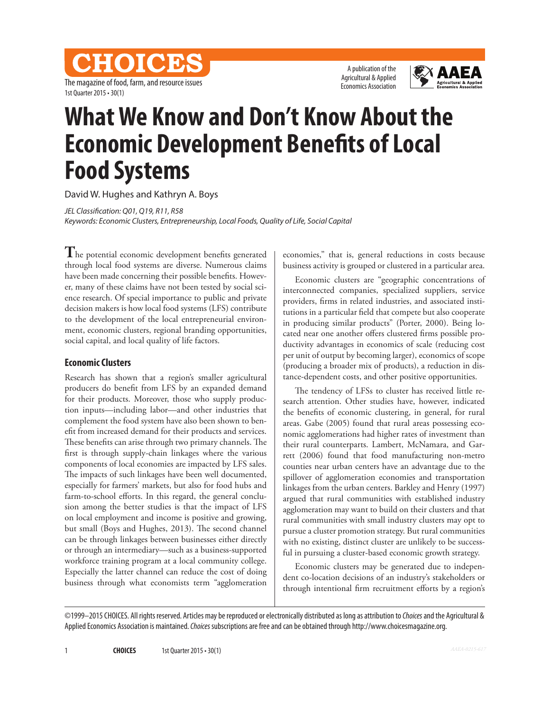CHOICES The magazine of food, farm, and resource issues 1st Quarter 2015 • 30(1)

A publication of the Agricultural & Applied Economics Association



# **What We Know and Don't Know About the Economic Development Benefits of Local Food Systems**

David W. Hughes and Kathryn A. Boys

*JEL Classification: Q01, Q19, R11, R58*

*Keywords: Economic Clusters, Entrepreneurship, Local Foods, Quality of Life, Social Capital*

**T**he potential economic development benefits generated through local food systems are diverse. Numerous claims have been made concerning their possible benefits. However, many of these claims have not been tested by social science research. Of special importance to public and private decision makers is how local food systems (LFS) contribute to the development of the local entrepreneurial environment, economic clusters, regional branding opportunities, social capital, and local quality of life factors.

### **Economic Clusters**

Research has shown that a region's smaller agricultural producers do benefit from LFS by an expanded demand for their products. Moreover, those who supply production inputs—including labor—and other industries that complement the food system have also been shown to benefit from increased demand for their products and services. These benefits can arise through two primary channels. The first is through supply-chain linkages where the various components of local economies are impacted by LFS sales. The impacts of such linkages have been well documented, especially for farmers' markets, but also for food hubs and farm-to-school efforts. In this regard, the general conclusion among the better studies is that the impact of LFS on local employment and income is positive and growing, but small (Boys and Hughes, 2013). The second channel can be through linkages between businesses either directly or through an intermediary—such as a business-supported workforce training program at a local community college. Especially the latter channel can reduce the cost of doing business through what economists term "agglomeration

economies," that is, general reductions in costs because business activity is grouped or clustered in a particular area.

Economic clusters are "geographic concentrations of interconnected companies, specialized suppliers, service providers, firms in related industries, and associated institutions in a particular field that compete but also cooperate in producing similar products" (Porter, 2000). Being located near one another offers clustered firms possible productivity advantages in economics of scale (reducing cost per unit of output by becoming larger), economics of scope (producing a broader mix of products), a reduction in distance-dependent costs, and other positive opportunities.

The tendency of LFSs to cluster has received little research attention. Other studies have, however, indicated the benefits of economic clustering, in general, for rural areas. Gabe (2005) found that rural areas possessing economic agglomerations had higher rates of investment than their rural counterparts. Lambert, McNamara, and Garrett (2006) found that food manufacturing non-metro counties near urban centers have an advantage due to the spillover of agglomeration economies and transportation linkages from the urban centers. Barkley and Henry (1997) argued that rural communities with established industry agglomeration may want to build on their clusters and that rural communities with small industry clusters may opt to pursue a cluster promotion strategy. But rural communities with no existing, distinct cluster are unlikely to be successful in pursuing a cluster-based economic growth strategy.

Economic clusters may be generated due to independent co-location decisions of an industry's stakeholders or through intentional firm recruitment efforts by a region's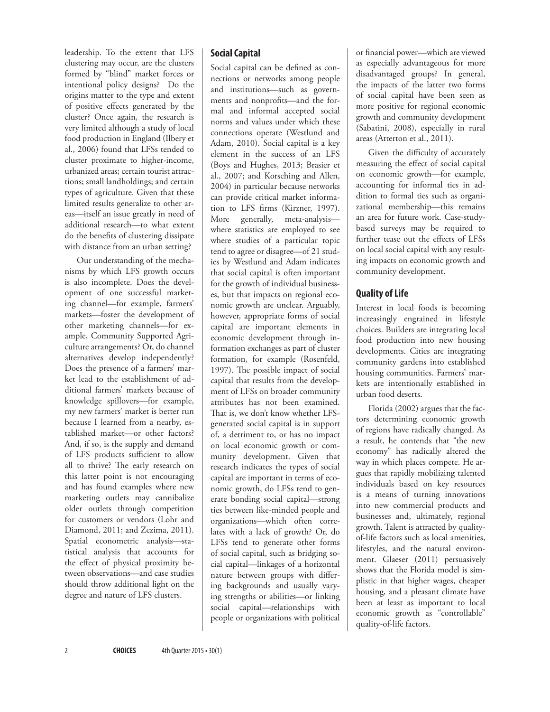leadership. To the extent that LFS clustering may occur, are the clusters formed by "blind" market forces or intentional policy designs? Do the origins matter to the type and extent of positive effects generated by the cluster? Once again, the research is very limited although a study of local food production in England (Ilbery et al., 2006) found that LFSs tended to cluster proximate to higher-income, urbanized areas; certain tourist attractions; small landholdings; and certain types of agriculture. Given that these limited results generalize to other areas—itself an issue greatly in need of additional research—to what extent do the benefits of clustering dissipate with distance from an urban setting?

Our understanding of the mechanisms by which LFS growth occurs is also incomplete. Does the development of one successful marketing channel—for example, farmers' markets—foster the development of other marketing channels—for example, Community Supported Agriculture arrangements? Or, do channel alternatives develop independently? Does the presence of a farmers' market lead to the establishment of additional farmers' markets because of knowledge spillovers—for example, my new farmers' market is better run because I learned from a nearby, established market—or other factors? And, if so, is the supply and demand of LFS products sufficient to allow all to thrive? The early research on this latter point is not encouraging and has found examples where new marketing outlets may cannibalize older outlets through competition for customers or vendors (Lohr and Diamond, 2011; and Zezima, 2011). Spatial econometric analysis—statistical analysis that accounts for the effect of physical proximity between observations—and case studies should throw additional light on the degree and nature of LFS clusters.

## **Social Capital**

Social capital can be defined as connections or networks among people and institutions—such as governments and nonprofits—and the formal and informal accepted social norms and values under which these connections operate (Westlund and Adam, 2010). Social capital is a key element in the success of an LFS (Boys and Hughes, 2013; Brasier et al., 2007; and Korsching and Allen, 2004) in particular because networks can provide critical market information to LFS firms (Kirzner, 1997). More generally, meta-analysis where statistics are employed to see where studies of a particular topic tend to agree or disagree—of 21 studies by Westlund and Adam indicates that social capital is often important for the growth of individual businesses, but that impacts on regional economic growth are unclear. Arguably, however, appropriate forms of social capital are important elements in economic development through information exchanges as part of cluster formation, for example (Rosenfeld, 1997). The possible impact of social capital that results from the development of LFSs on broader community attributes has not been examined. That is, we don't know whether LFSgenerated social capital is in support of, a detriment to, or has no impact on local economic growth or community development. Given that research indicates the types of social capital are important in terms of economic growth, do LFSs tend to generate bonding social capital—strong ties between like-minded people and organizations—which often correlates with a lack of growth? Or, do LFSs tend to generate other forms of social capital, such as bridging social capital—linkages of a horizontal nature between groups with differing backgrounds and usually varying strengths or abilities—or linking social capital—relationships with people or organizations with political

or financial power—which are viewed as especially advantageous for more disadvantaged groups? In general, the impacts of the latter two forms of social capital have been seen as more positive for regional economic growth and community development (Sabatini, 2008), especially in rural areas (Atterton et al., 2011).

Given the difficulty of accurately measuring the effect of social capital on economic growth—for example, accounting for informal ties in addition to formal ties such as organizational membership—this remains an area for future work. Case-studybased surveys may be required to further tease out the effects of LFSs on local social capital with any resulting impacts on economic growth and community development.

## **Quality of Life**

Interest in local foods is becoming increasingly engrained in lifestyle choices. Builders are integrating local food production into new housing developments. Cities are integrating community gardens into established housing communities. Farmers' markets are intentionally established in urban food deserts.

Florida (2002) argues that the factors determining economic growth of regions have radically changed. As a result, he contends that "the new economy" has radically altered the way in which places compete. He argues that rapidly mobilizing talented individuals based on key resources is a means of turning innovations into new commercial products and businesses and, ultimately, regional growth. Talent is attracted by qualityof-life factors such as local amenities, lifestyles, and the natural environment. Glaeser (2011) persuasively shows that the Florida model is simplistic in that higher wages, cheaper housing, and a pleasant climate have been at least as important to local economic growth as "controllable" quality-of-life factors.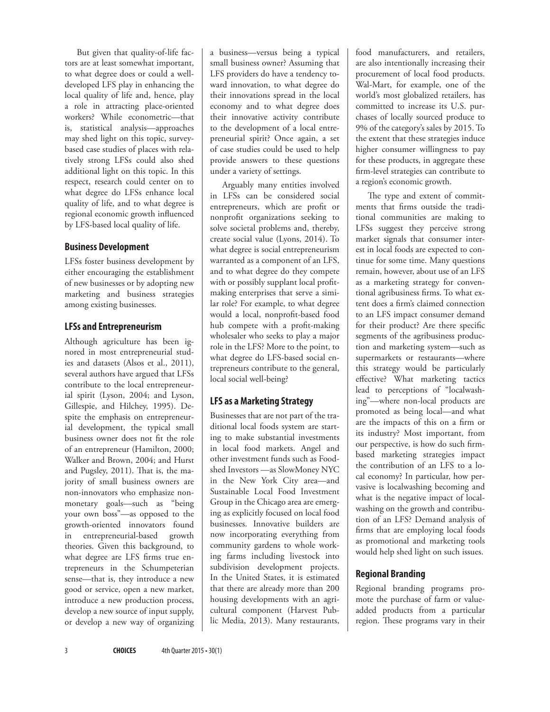But given that quality-of-life factors are at least somewhat important, to what degree does or could a welldeveloped LFS play in enhancing the local quality of life and, hence, play a role in attracting place-oriented workers? While econometric—that is, statistical analysis—approaches may shed light on this topic, surveybased case studies of places with relatively strong LFSs could also shed additional light on this topic. In this respect, research could center on to what degree do LFSs enhance local quality of life, and to what degree is regional economic growth influenced by LFS-based local quality of life.

### **Business Development**

LFSs foster business development by either encouraging the establishment of new businesses or by adopting new marketing and business strategies among existing businesses.

## **LFSs and Entrepreneurism**

Although agriculture has been ignored in most entrepreneurial studies and datasets (Alsos et al., 2011), several authors have argued that LFSs contribute to the local entrepreneurial spirit (Lyson, 2004; and Lyson, Gillespie, and Hilchey, 1995). Despite the emphasis on entrepreneurial development, the typical small business owner does not fit the role of an entrepreneur (Hamilton, 2000; Walker and Brown, 2004; and Hurst and Pugsley, 2011). That is, the majority of small business owners are non-innovators who emphasize nonmonetary goals—such as "being your own boss"—as opposed to the growth-oriented innovators found in entrepreneurial-based growth theories. Given this background, to what degree are LFS firms true entrepreneurs in the Schumpeterian sense—that is, they introduce a new good or service, open a new market, introduce a new production process, develop a new source of input supply, or develop a new way of organizing

a business—versus being a typical small business owner? Assuming that LFS providers do have a tendency toward innovation, to what degree do their innovations spread in the local economy and to what degree does their innovative activity contribute to the development of a local entrepreneurial spirit? Once again, a set of case studies could be used to help provide answers to these questions under a variety of settings.

Arguably many entities involved in LFSs can be considered social entrepreneurs, which are profit or nonprofit organizations seeking to solve societal problems and, thereby, create social value (Lyons, 2014). To what degree is social entrepreneurism warranted as a component of an LFS, and to what degree do they compete with or possibly supplant local profitmaking enterprises that serve a similar role? For example, to what degree would a local, nonprofit-based food hub compete with a profit-making wholesaler who seeks to play a major role in the LFS? More to the point, to what degree do LFS-based social entrepreneurs contribute to the general, local social well-being?

# **LFS as a Marketing Strategy**

Businesses that are not part of the traditional local foods system are starting to make substantial investments in local food markets. Angel and other investment funds such as Foodshed Investors —as SlowMoney NYC in the New York City area—and Sustainable Local Food Investment Group in the Chicago area are emerging as explicitly focused on local food businesses. Innovative builders are now incorporating everything from community gardens to whole working farms including livestock into subdivision development projects. In the United States, it is estimated that there are already more than 200 housing developments with an agricultural component (Harvest Public Media, 2013). Many restaurants,

food manufacturers, and retailers, are also intentionally increasing their procurement of local food products. Wal-Mart, for example, one of the world's most globalized retailers, has committed to increase its U.S. purchases of locally sourced produce to 9% of the category's sales by 2015. To the extent that these strategies induce higher consumer willingness to pay for these products, in aggregate these firm-level strategies can contribute to a region's economic growth.

The type and extent of commitments that firms outside the traditional communities are making to LFSs suggest they perceive strong market signals that consumer interest in local foods are expected to continue for some time. Many questions remain, however, about use of an LFS as a marketing strategy for conventional agribusiness firms. To what extent does a firm's claimed connection to an LFS impact consumer demand for their product? Are there specific segments of the agribusiness production and marketing system—such as supermarkets or restaurants—where this strategy would be particularly effective? What marketing tactics lead to perceptions of "localwashing"—where non-local products are promoted as being local—and what are the impacts of this on a firm or its industry? Most important, from our perspective, is how do such firmbased marketing strategies impact the contribution of an LFS to a local economy? In particular, how pervasive is localwashing becoming and what is the negative impact of localwashing on the growth and contribution of an LFS? Demand analysis of firms that are employing local foods as promotional and marketing tools would help shed light on such issues.

# **Regional Branding**

Regional branding programs promote the purchase of farm or valueadded products from a particular region. These programs vary in their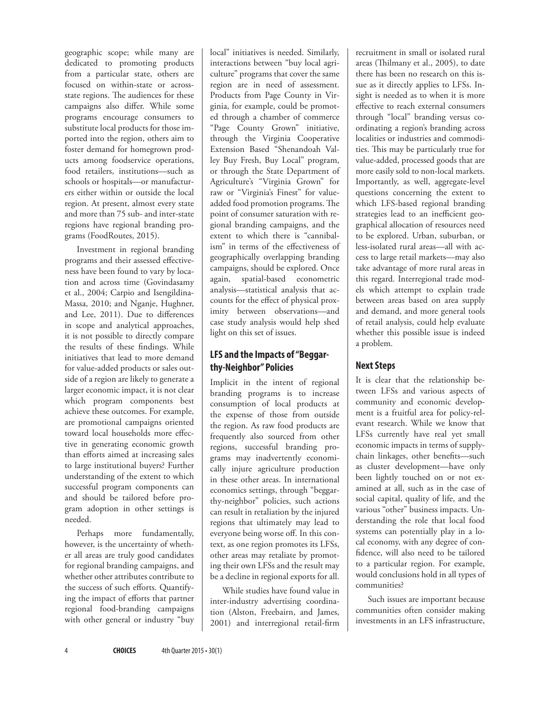geographic scope; while many are dedicated to promoting products from a particular state, others are focused on within-state or acrossstate regions. The audiences for these campaigns also differ. While some programs encourage consumers to substitute local products for those imported into the region, others aim to foster demand for homegrown products among foodservice operations, food retailers, institutions—such as schools or hospitals—or manufacturers either within or outside the local region. At present, almost every state and more than 75 sub- and inter-state regions have regional branding programs (FoodRoutes, 2015).

Investment in regional branding programs and their assessed effectiveness have been found to vary by location and across time (Govindasamy et al., 2004; Carpio and Isengildina-Massa, 2010; and Nganje, Hughner, and Lee, 2011). Due to differences in scope and analytical approaches, it is not possible to directly compare the results of these findings. While initiatives that lead to more demand for value-added products or sales outside of a region are likely to generate a larger economic impact, it is not clear which program components best achieve these outcomes. For example, are promotional campaigns oriented toward local households more effective in generating economic growth than efforts aimed at increasing sales to large institutional buyers? Further understanding of the extent to which successful program components can and should be tailored before program adoption in other settings is needed.

Perhaps more fundamentally, however, is the uncertainty of whether all areas are truly good candidates for regional branding campaigns, and whether other attributes contribute to the success of such efforts. Quantifying the impact of efforts that partner regional food-branding campaigns with other general or industry "buy local" initiatives is needed. Similarly, interactions between "buy local agriculture" programs that cover the same region are in need of assessment. Products from Page County in Virginia, for example, could be promoted through a chamber of commerce "Page County Grown" initiative, through the Virginia Cooperative Extension Based "Shenandoah Valley Buy Fresh, Buy Local" program, or through the State Department of Agriculture's "Virginia Grown" for raw or "Virginia's Finest" for valueadded food promotion programs. The point of consumer saturation with regional branding campaigns, and the extent to which there is "cannibalism" in terms of the effectiveness of geographically overlapping branding campaigns, should be explored. Once again, spatial-based econometric analysis—statistical analysis that accounts for the effect of physical proximity between observations—and case study analysis would help shed light on this set of issues.

# **LFS and the Impacts of "Beggarthy-Neighbor" Policies**

Implicit in the intent of regional branding programs is to increase consumption of local products at the expense of those from outside the region. As raw food products are frequently also sourced from other regions, successful branding programs may inadvertently economically injure agriculture production in these other areas. In international economics settings, through "beggarthy-neighbor" policies, such actions can result in retaliation by the injured regions that ultimately may lead to everyone being worse off. In this context, as one region promotes its LFSs, other areas may retaliate by promoting their own LFSs and the result may be a decline in regional exports for all.

While studies have found value in inter-industry advertising coordination (Alston, Freebairn, and James, 2001) and interregional retail-firm

recruitment in small or isolated rural areas (Thilmany et al., 2005), to date there has been no research on this issue as it directly applies to LFSs. Insight is needed as to when it is more effective to reach external consumers through "local" branding versus coordinating a region's branding across localities or industries and commodities. This may be particularly true for value-added, processed goods that are more easily sold to non-local markets. Importantly, as well, aggregate-level questions concerning the extent to which LFS-based regional branding strategies lead to an inefficient geographical allocation of resources need to be explored. Urban, suburban, or less-isolated rural areas—all with access to large retail markets—may also take advantage of more rural areas in this regard. Interregional trade models which attempt to explain trade between areas based on area supply and demand, and more general tools of retail analysis, could help evaluate whether this possible issue is indeed a problem.

# **Next Steps**

It is clear that the relationship between LFSs and various aspects of community and economic development is a fruitful area for policy-relevant research. While we know that LFSs currently have real yet small economic impacts in terms of supplychain linkages, other benefits—such as cluster development—have only been lightly touched on or not examined at all, such as in the case of social capital, quality of life, and the various "other" business impacts. Understanding the role that local food systems can potentially play in a local economy, with any degree of confidence, will also need to be tailored to a particular region. For example, would conclusions hold in all types of communities?

Such issues are important because communities often consider making investments in an LFS infrastructure,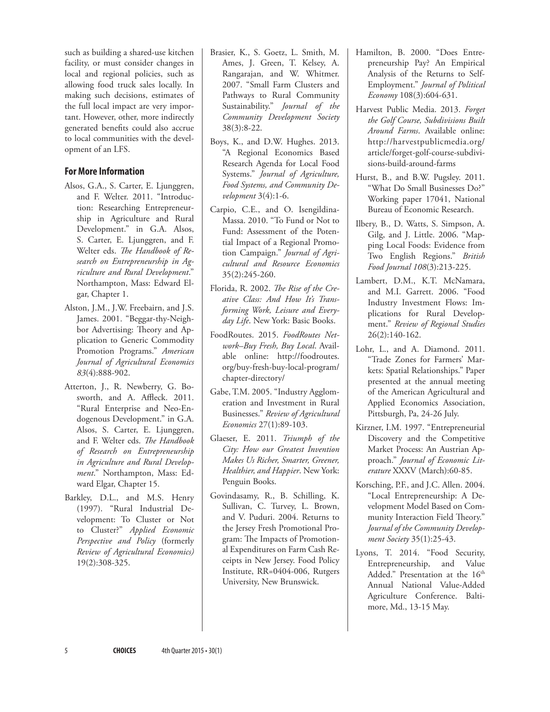such as building a shared-use kitchen facility, or must consider changes in local and regional policies, such as allowing food truck sales locally. In making such decisions, estimates of the full local impact are very important. However, other, more indirectly generated benefits could also accrue to local communities with the development of an LFS.

## **For More Information**

- Alsos, G.A., S. Carter, E. Ljunggren, and F. Welter. 2011. "Introduction: Researching Entrepreneurship in Agriculture and Rural Development." in G.A. Alsos, S. Carter, E. Ljunggren, and F. Welter eds. *The Handbook of Research on Entrepreneurship in Agriculture and Rural Development*." Northampton, Mass: Edward Elgar, Chapter 1.
- Alston, J.M., J.W. Freebairn, and J.S. James. 2001. "Beggar-thy-Neighbor Advertising: Theory and Application to Generic Commodity Promotion Programs." *American Journal of Agricultural Economics 83*(4):888-902.
- Atterton, J., R. Newberry, G. Bosworth, and A. Affleck. 2011. "Rural Enterprise and Neo-Endogenous Development." in G.A. Alsos, S. Carter, E. Ljunggren, and F. Welter eds. *The Handbook of Research on Entrepreneurship in Agriculture and Rural Development*." Northampton, Mass: Edward Elgar, Chapter 15.
- Barkley, D.L., and M.S. Henry (1997). "Rural Industrial Development: To Cluster or Not to Cluster?" *Applied Economic Perspective and Policy* (formerly *Review of Agricultural Economics)* 19(2):308-325.
- Brasier, K., S. Goetz, L. Smith, M. Ames, J. Green, T. Kelsey, A. Rangarajan, and W. Whitmer. 2007. "Small Farm Clusters and Pathways to Rural Community Sustainability." *Journal of the Community Development Society* 38(3):8-22.
- Boys, K., and D.W. Hughes. 2013. "A Regional Economics Based Research Agenda for Local Food Systems." *Journal of Agriculture, Food Systems, and Community Development* 3(4):1-6.
- Carpio, C.E., and O. Isengildina-Massa. 2010. "To Fund or Not to Fund: Assessment of the Potential Impact of a Regional Promotion Campaign." *Journal of Agricultural and Resource Economics* 35(2):245-260.
- Florida, R. 2002. *The Rise of the Creative Class: And How It's Transforming Work, Leisure and Everyday Life*. New York: Basic Books.
- FoodRoutes. 2015. *FoodRoutes Network–Buy Fresh, Buy Local*. Available online: [http://foodroutes.](http://foodroutes.org/buy-fresh-buy-local-program/chapter-directory/) [org/buy-fresh-buy-local-program/](http://foodroutes.org/buy-fresh-buy-local-program/chapter-directory/) [chapter-directory/](http://foodroutes.org/buy-fresh-buy-local-program/chapter-directory/)
- Gabe, T.M. 2005. "Industry Agglomeration and Investment in Rural Businesses." *Review of Agricultural Economics* 27(1):89-103.
- Glaeser, E. 2011. *Triumph of the City: How our Greatest Invention Makes Us Richer, Smarter, Greener, Healthier, and Happier*. New York: Penguin Books.
- Govindasamy, R., B. Schilling, K. Sullivan, C. Turvey, L. Brown, and V. Puduri. 2004. Returns to the Jersey Fresh Promotional Program: The Impacts of Promotional Expenditures on Farm Cash Receipts in New Jersey. Food Policy Institute, RR=0404-006, Rutgers University, New Brunswick.
- Hamilton, B. 2000. "Does Entrepreneurship Pay? An Empirical Analysis of the Returns to Self-Employment." *Journal of Political Economy* 108(3):604-631.
- Harvest Public Media. 2013. *Forget the Golf Course, Subdivisions Built Around Farms*. Available online: [http://harvestpublicmedia.org/](http://harvestpublicmedia.org/article/forget-golf-course-subdivisions-build-around-farms) [article/forget-golf-course-subdivi](http://harvestpublicmedia.org/article/forget-golf-course-subdivisions-build-around-farms)[sions-build-around-farms](http://harvestpublicmedia.org/article/forget-golf-course-subdivisions-build-around-farms)
- Hurst, B., and B.W. Pugsley. 2011. "What Do Small Businesses Do?" Working paper 17041, National Bureau of Economic Research.
- Ilbery, B., D. Watts, S. Simpson, A. Gilg, and J. Little. 2006. "Mapping Local Foods: Evidence from Two English Regions." *British Food Journal 108*(3):213-225.
- Lambert, D.M., K.T. McNamara, and M.I. Garrett. 2006. "Food Industry Investment Flows: Implications for Rural Development." *Review of Regional Studies* 26(2):140-162.
- Lohr, L., and A. Diamond. 2011. "Trade Zones for Farmers' Markets: Spatial Relationships." Paper presented at the annual meeting of the American Agricultural and Applied Economics Association, Pittsburgh, Pa, 24-26 July.
- Kirzner, I.M. 1997. "Entrepreneurial Discovery and the Competitive Market Process: An Austrian Approach." *Journal of Economic Literature* XXXV (March):60-85.
- Korsching, P.F., and J.C. Allen. 2004. "Local Entrepreneurship: A Development Model Based on Community Interaction Field Theory." *Journal of the Community Development Society* 35(1):25-43.
- Lyons, T. 2014. "Food Security, Entrepreneurship, and Value Added." Presentation at the 16<sup>th</sup> Annual National Value-Added Agriculture Conference. Baltimore, Md., 13-15 May.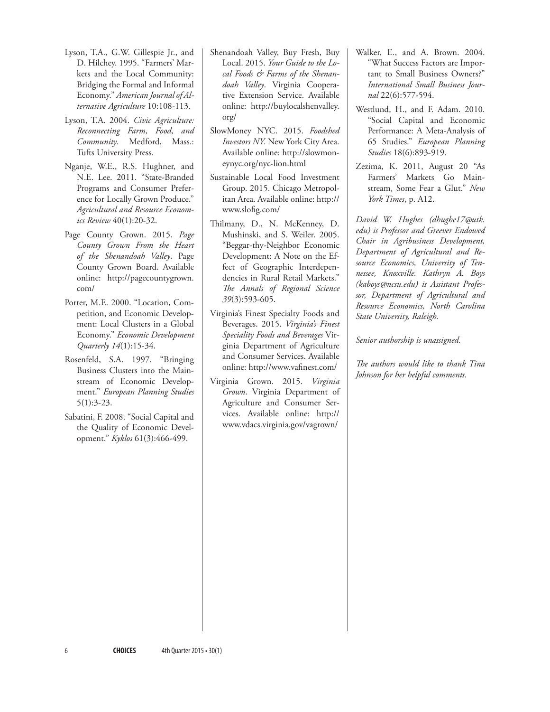- Lyson, T.A., G.W. Gillespie Jr., and D. Hilchey. 1995. "Farmers' Markets and the Local Community: Bridging the Formal and Informal Economy." *American Journal of Alternative Agriculture* 10:108-113.
- Lyson, T.A. 2004. *Civic Agriculture: Reconnecting Farm, Food, and Community*. Medford, Mass.: Tufts University Press.
- Nganje, W.E., R.S. Hughner, and N.E. Lee. 2011. "State-Branded Programs and Consumer Preference for Locally Grown Produce." *Agricultural and Resource Economics Review* 40(1):20-32.
- Page County Grown. 2015. *Page County Grown From the Heart of the Shenandoah Valley*. Page County Grown Board. Available online: [http://pagecountygrown.](http://pagecountygrown.com/) [com/](http://pagecountygrown.com/)
- Porter, M.E. 2000. "Location, Competition, and Economic Development: Local Clusters in a Global Economy." *Economic Development Quarterly 14*(1):15-34.
- Rosenfeld, S.A. 1997. "Bringing Business Clusters into the Mainstream of Economic Development." *European Planning Studies* 5(1):3-23.
- Sabatini, F. 2008. "Social Capital and the Quality of Economic Development." *Kyklos* 61(3):466-499.
- Shenandoah Valley, Buy Fresh, Buy Local. 2015. *Your Guide to the Local Foods & Farms of the Shenandoah Valley*. Virginia Cooperative Extension Service. Available online: [http://buylocalshenvalley.](http://buylocalshenvalley.org/) [org/](http://buylocalshenvalley.org/)
- SlowMoney NYC. 2015. *Foodshed Investors NY.* New York City Area. Available online: [http://slowmon](http://slowmoneynyc.org/nyc-lion.html)[eynyc.org/nyc-lion.html](http://slowmoneynyc.org/nyc-lion.html)
- Sustainable Local Food Investment Group. 2015. Chicago Metropolitan Area. Available online: [http://](http://www.slofig.com/) [www.slofig.com/](http://www.slofig.com/)
- Thilmany, D., N. McKenney, D. Mushinski, and S. Weiler. 2005. "Beggar-thy-Neighbor Economic Development: A Note on the Effect of Geographic Interdependencies in Rural Retail Markets." *The Annals of Regional Science 39*(3):593-605.
- Virginia's Finest Specialty Foods and Beverages. 2015. *Virginia's Finest Speciality Foods and Beverages* Virginia Department of Agriculture and Consumer Services. Available online: <http://www.vafinest.com/>
- Virginia Grown. 2015. *Virginia Grown*. Virginia Department of Agriculture and Consumer Services. Available online: [http://](http://www.vdacs.virginia.gov/vagrown/) [www.vdacs.virginia.gov/vagrown/](http://www.vdacs.virginia.gov/vagrown/)
- Walker, E., and A. Brown. 2004. "What Success Factors are Important to Small Business Owners?" *International Small Business Journal* 22(6):577-594.
- Westlund, H., and F. Adam. 2010. "Social Capital and Economic Performance: A Meta-Analysis of 65 Studies." *European Planning Studies* 18(6):893-919.
- Zezima, K. 2011, August 20 "As Farmers' Markets Go Mainstream, Some Fear a Glut." *New York Times*, p. A12.

*David W. Hughes (dhughe17@utk. edu) is Professor and Greever Endowed Chair in Agribusiness Development, Department of Agricultural and Resource Economics, University of Tennessee, Knoxville. Kathryn A. Boys [\(kaboys@ncsu.edu](mailto:kaboys@ncsu.edu)) is Assistant Professor, Department of Agricultural and Resource Economics, North Carolina State University, Raleigh.* 

*Senior authorship is unassigned.* 

*The authors would like to thank Tina Johnson for her helpful comments.*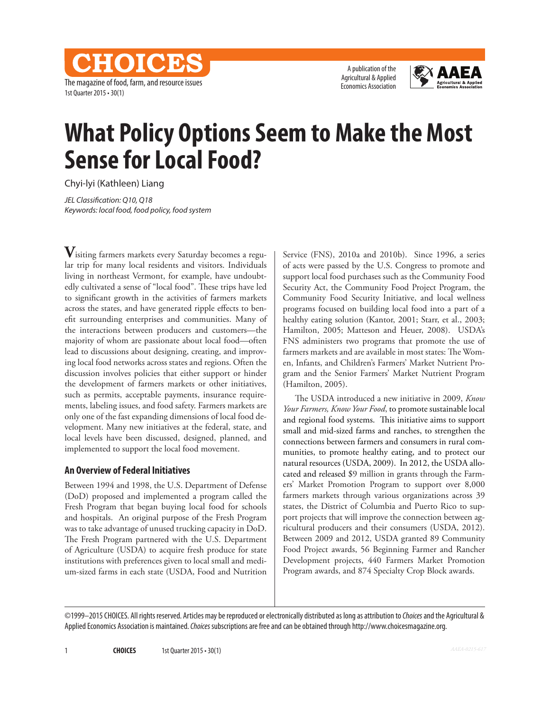The magazine of food, farm, and resource issues 1st Quarter 2015 • 30(1)

CHOICES

A publication of the Agricultural & Applied Economics Association



# **What Policy Options Seem to Make the Most Sense for Local Food?**

Chyi-lyi (Kathleen) Liang

*JEL Classification: Q10, Q18 Keywords: local food, food policy, food system*

**V**isiting farmers markets every Saturday becomes a regular trip for many local residents and visitors. Individuals living in northeast Vermont, for example, have undoubtedly cultivated a sense of "local food". These trips have led to significant growth in the activities of farmers markets across the states, and have generated ripple effects to benefit surrounding enterprises and communities. Many of the interactions between producers and customers—the majority of whom are passionate about local food—often lead to discussions about designing, creating, and improving local food networks across states and regions. Often the discussion involves policies that either support or hinder the development of farmers markets or other initiatives, such as permits, acceptable payments, insurance requirements, labeling issues, and food safety. Farmers markets are only one of the fast expanding dimensions of local food development. Many new initiatives at the federal, state, and local levels have been discussed, designed, planned, and implemented to support the local food movement.

#### **An Overview of Federal Initiatives**

Between 1994 and 1998, the U.S. Department of Defense (DoD) proposed and implemented a program called the Fresh Program that began buying local food for schools and hospitals. An original purpose of the Fresh Program was to take advantage of unused trucking capacity in DoD. The Fresh Program partnered with the U.S. Department of Agriculture (USDA) to acquire fresh produce for state institutions with preferences given to local small and medium-sized farms in each state (USDA, Food and Nutrition Service (FNS), 2010a and 2010b). Since 1996, a series of acts were passed by the U.S. Congress to promote and support local food purchases such as the Community Food Security Act, the Community Food Project Program, the Community Food Security Initiative, and local wellness programs focused on building local food into a part of a healthy eating solution (Kantor, 2001; Starr, et al., 2003; Hamilton, 2005; Matteson and Heuer, 2008). USDA's FNS administers two programs that promote the use of farmers markets and are available in most states: The Women, Infants, and Children's Farmers' Market Nutrient Program and the Senior Farmers' Market Nutrient Program (Hamilton, 2005).

The USDA introduced a new initiative in 2009, *Know Your Farmers, Know Your Food*, to promote sustainable local and regional food systems. This initiative aims to support small and mid-sized farms and ranches, to strengthen the connections between farmers and consumers in rural communities, to promote healthy eating, and to protect our natural resources (USDA, 2009). In 2012, the USDA allocated and released \$9 million in grants through the Farmers' Market Promotion Program to support over 8,000 farmers markets through various organizations across 39 states, the District of Columbia and Puerto Rico to support projects that will improve the connection between agricultural producers and their consumers (USDA, 2012). Between 2009 and 2012, USDA granted 89 Community Food Project awards, 56 Beginning Farmer and Rancher Development projects, 440 Farmers Market Promotion Program awards, and 874 Specialty Crop Block awards.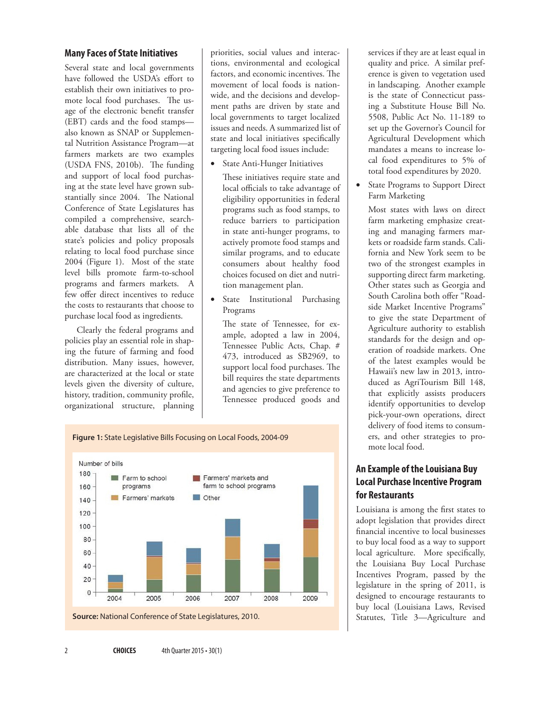#### **Many Faces of State Initiatives**

Several state and local governments have followed the USDA's effort to establish their own initiatives to promote local food purchases. The usage of the electronic benefit transfer (EBT) cards and the food stamps also known as SNAP or Supplemental Nutrition Assistance Program—at farmers markets are two examples (USDA FNS, 2010b). The funding and support of local food purchasing at the state level have grown substantially since 2004. The National Conference of State Legislatures has compiled a comprehensive, searchable database that lists all of the state's policies and policy proposals relating to local food purchase since 2004 (Figure 1). Most of the state level bills promote farm-to-school programs and farmers markets. A few offer direct incentives to reduce the costs to restaurants that choose to purchase local food as ingredients.

Clearly the federal programs and policies play an essential role in shaping the future of farming and food distribution. Many issues, however, are characterized at the local or state levels given the diversity of culture, history, tradition, community profile, organizational structure, planning priorities, social values and interactions, environmental and ecological factors, and economic incentives. The movement of local foods is nationwide, and the decisions and development paths are driven by state and local governments to target localized issues and needs. A summarized list of state and local initiatives specifically targeting local food issues include:

**State Anti-Hunger Initiatives** 

These initiatives require state and local officials to take advantage of eligibility opportunities in federal programs such as food stamps, to reduce barriers to participation in state anti-hunger programs, to actively promote food stamps and similar programs, and to educate consumers about healthy food choices focused on diet and nutrition management plan.

State Institutional Purchasing Programs

The state of Tennessee, for example, adopted a law in 2004, Tennessee Public Acts, Chap. # 473, introduced as SB2969, to support local food purchases. The bill requires the state departments and agencies to give preference to Tennessee produced goods and



services if they are at least equal in quality and price. A similar preference is given to vegetation used in landscaping. Another example is the state of Connecticut passing a Substitute House Bill No. 5508, Public Act No. 11-189 to set up the Governor's Council for Agricultural Development which mandates a means to increase local food expenditures to 5% of total food expenditures by 2020.

State Programs to Support Direct Farm Marketing

Most states with laws on direct farm marketing emphasize creating and managing farmers markets or roadside farm stands. California and New York seem to be two of the strongest examples in supporting direct farm marketing. Other states such as Georgia and South Carolina both offer "Roadside Market Incentive Programs" to give the state Department of Agriculture authority to establish standards for the design and operation of roadside markets. One of the latest examples would be Hawaii's new law in 2013, introduced as AgriTourism Bill 148, that explicitly assists producers identify opportunities to develop pick-your-own operations, direct delivery of food items to consumers, and other strategies to promote local food.

# **An Example of the Louisiana Buy Local Purchase Incentive Program for Restaurants**

Louisiana is among the first states to adopt legislation that provides direct financial incentive to local businesses to buy local food as a way to support local agriculture. More specifically, the Louisiana Buy Local Purchase Incentives Program, passed by the legislature in the spring of 2011, is designed to encourage restaurants to buy local (Louisiana Laws, Revised Statutes, Title 3—Agriculture and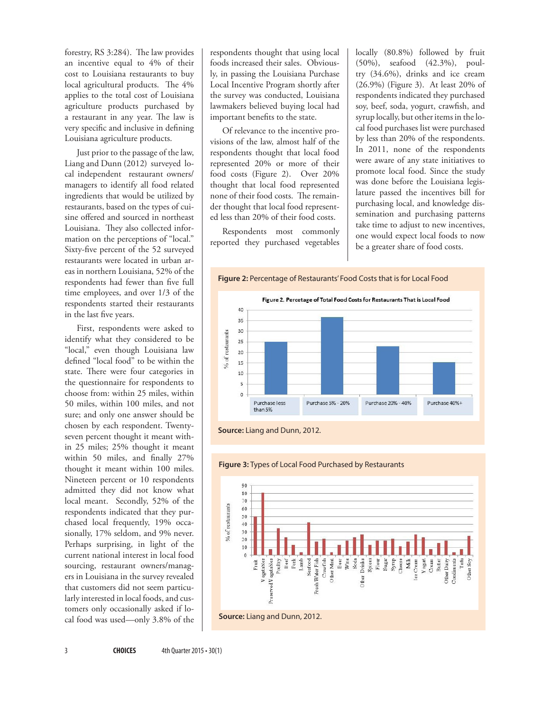forestry, RS 3:284). The law provides an incentive equal to 4% of their cost to Louisiana restaurants to buy local agricultural products. The 4% applies to the total cost of Louisiana agriculture products purchased by a restaurant in any year. The law is very specific and inclusive in defining Louisiana agriculture products.

Just prior to the passage of the law, Liang and Dunn (2012) surveyed local independent restaurant owners/ managers to identify all food related ingredients that would be utilized by restaurants, based on the types of cuisine offered and sourced in northeast Louisiana. They also collected information on the perceptions of "local." Sixty-five percent of the 52 surveyed restaurants were located in urban areas in northern Louisiana, 52% of the respondents had fewer than five full time employees, and over 1/3 of the respondents started their restaurants in the last five years.

First, respondents were asked to identify what they considered to be "local," even though Louisiana law defined "local food" to be within the state. There were four categories in the questionnaire for respondents to choose from: within 25 miles, within 50 miles, within 100 miles, and not sure; and only one answer should be chosen by each respondent. Twentyseven percent thought it meant within 25 miles; 25% thought it meant within 50 miles, and finally 27% thought it meant within 100 miles. Nineteen percent or 10 respondents admitted they did not know what local meant. Secondly, 52% of the respondents indicated that they purchased local frequently, 19% occasionally, 17% seldom, and 9% never. Perhaps surprising, in light of the current national interest in local food sourcing, restaurant owners/managers in Louisiana in the survey revealed that customers did not seem particularly interested in local foods, and customers only occasionally asked if local food was used—only 3.8% of the respondents thought that using local foods increased their sales. Obviously, in passing the Louisiana Purchase Local Incentive Program shortly after the survey was conducted, Louisiana lawmakers believed buying local had important benefits to the state.

Of relevance to the incentive provisions of the law, almost half of the respondents thought that local food represented 20% or more of their food costs (Figure 2). Over 20% thought that local food represented none of their food costs. The remainder thought that local food represented less than 20% of their food costs.

Respondents most commonly reported they purchased vegetables locally (80.8%) followed by fruit (50%), seafood (42.3%), poultry (34.6%), drinks and ice cream (26.9%) (Figure 3). At least 20% of respondents indicated they purchased soy, beef, soda, yogurt, crawfish, and syrup locally, but other items in the local food purchases list were purchased by less than 20% of the respondents. In 2011, none of the respondents were aware of any state initiatives to promote local food. Since the study was done before the Louisiana legislature passed the incentives bill for purchasing local, and knowledge dissemination and purchasing patterns take time to adjust to new incentives, one would expect local foods to now be a greater share of food costs.









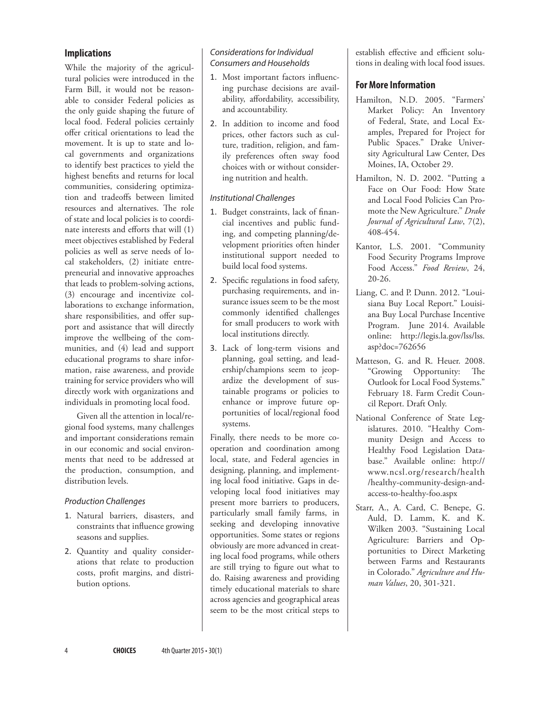## **Implications**

While the majority of the agricultural policies were introduced in the Farm Bill, it would not be reasonable to consider Federal policies as the only guide shaping the future of local food. Federal policies certainly offer critical orientations to lead the movement. It is up to state and local governments and organizations to identify best practices to yield the highest benefits and returns for local communities, considering optimization and tradeoffs between limited resources and alternatives. The role of state and local policies is to coordinate interests and efforts that will (1) meet objectives established by Federal policies as well as serve needs of local stakeholders, (2) initiate entrepreneurial and innovative approaches that leads to problem-solving actions, (3) encourage and incentivize collaborations to exchange information, share responsibilities, and offer support and assistance that will directly improve the wellbeing of the communities, and (4) lead and support educational programs to share information, raise awareness, and provide training for service providers who will directly work with organizations and individuals in promoting local food.

Given all the attention in local/regional food systems, many challenges and important considerations remain in our economic and social environments that need to be addressed at the production, consumption, and distribution levels.

### *Production Challenges*

- 1. Natural barriers, disasters, and constraints that influence growing seasons and supplies.
- 2. Quantity and quality considerations that relate to production costs, profit margins, and distribution options.

### *Considerations for Individual Consumers and Households*

- 1. Most important factors influencing purchase decisions are availability, affordability, accessibility, and accountability.
- 2. In addition to income and food prices, other factors such as culture, tradition, religion, and family preferences often sway food choices with or without considering nutrition and health.

## *Institutional Challenges*

- 1. Budget constraints, lack of financial incentives and public funding, and competing planning/development priorities often hinder institutional support needed to build local food systems.
- 2. Specific regulations in food safety, purchasing requirements, and insurance issues seem to be the most commonly identified challenges for small producers to work with local institutions directly.
- 3. Lack of long-term visions and planning, goal setting, and leadership/champions seem to jeopardize the development of sustainable programs or policies to enhance or improve future opportunities of local/regional food systems.

Finally, there needs to be more cooperation and coordination among local, state, and Federal agencies in designing, planning, and implementing local food initiative. Gaps in developing local food initiatives may present more barriers to producers, particularly small family farms, in seeking and developing innovative opportunities. Some states or regions obviously are more advanced in creating local food programs, while others are still trying to figure out what to do. Raising awareness and providing timely educational materials to share across agencies and geographical areas seem to be the most critical steps to

establish effective and efficient solutions in dealing with local food issues.

## **For More Information**

- Hamilton, N.D. 2005. "Farmers' Market Policy: An Inventory of Federal, State, and Local Examples, Prepared for Project for Public Spaces." Drake University Agricultural Law Center, Des Moines, IA, October 29.
- Hamilton, N. D. 2002. "Putting a Face on Our Food: How State and Local Food Policies Can Promote the New Agriculture." *Drake Journal of Agricultural Law*, 7(2), 408-454.
- Kantor, L.S. 2001. "Community Food Security Programs Improve Food Access." *Food Review*, 24, 20-26.
- Liang, C. and P. Dunn. 2012. "Louisiana Buy Local Report." Louisiana Buy Local Purchase Incentive Program. June 2014. Available online: [http://legis.la.gov/lss/lss.](http://legis.la.gov/lss/lss.asp?doc=762656) [asp?doc=762656](http://legis.la.gov/lss/lss.asp?doc=762656)
- Matteson, G. and R. Heuer. 2008. "Growing Opportunity: The Outlook for Local Food Systems." February 18. Farm Credit Council Report. Draft Only.
- National Conference of State Legislatures. 2010. "Healthy Community Design and Access to Healthy Food Legislation Database." Available online: [http://](http://www.ncsl.org/research/health/healthy-community-design-and-access-to-healthy-foo.aspx) [www.ncsl.org/research/health](http://www.ncsl.org/research/health/healthy-community-design-and-access-to-healthy-foo.aspx) [/healthy-community-design-and](http://www.ncsl.org/research/health/healthy-community-design-and-access-to-healthy-foo.aspx)[access-to-healthy-foo.aspx](http://www.ncsl.org/research/health/healthy-community-design-and-access-to-healthy-foo.aspx)
- Starr, A., A. Card, C. Benepe, G. Auld, D. Lamm, K. and K. Wilken 2003. "Sustaining Local Agriculture: Barriers and Opportunities to Direct Marketing between Farms and Restaurants in Colorado." *Agriculture and Human Values*, 20, 301-321.